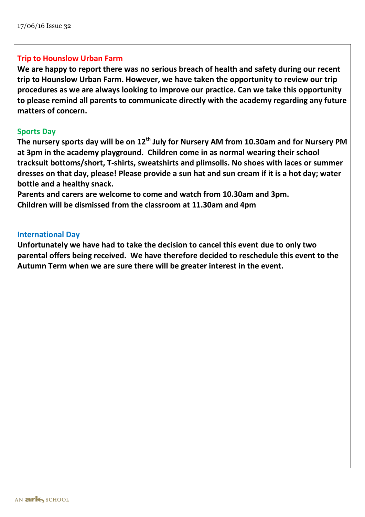## **Trip to Hounslow Urban Farm**

**We are happy to report there was no serious breach of health and safety during our recent trip to Hounslow Urban Farm. However, we have taken the opportunity to review our trip procedures as we are always looking to improve our practice. Can we take this opportunity to please remind all parents to communicate directly with the academy regarding any future matters of concern.**

## **Sports Day**

**The nursery sports day will be on 12th July for Nursery AM from 10.30am and for Nursery PM at 3pm in the academy playground. Children come in as normal wearing their school tracksuit bottoms/short, T-shirts, sweatshirts and plimsolls. No shoes with laces or summer dresses on that day, please! Please provide a sun hat and sun cream if it is a hot day; water bottle and a healthy snack.** 

**Parents and carers are welcome to come and watch from 10.30am and 3pm. Children will be dismissed from the classroom at 11.30am and 4pm**

### **International Day**

**Unfortunately we have had to take the decision to cancel this event due to only two parental offers being received. We have therefore decided to reschedule this event to the Autumn Term when we are sure there will be greater interest in the event.**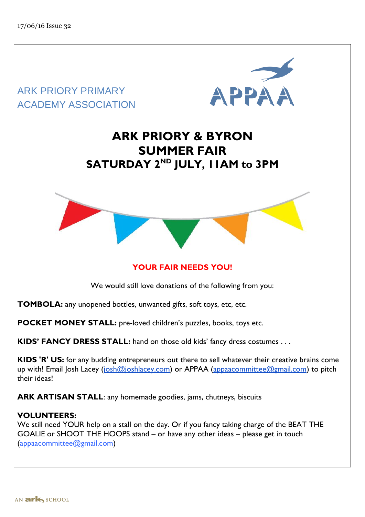

We still need YOUR help on a stall on the day. Or if you fancy taking charge of the BEAT THE GOALIE or SHOOT THE HOOPS stand – or have any other ideas – please get in touch (appaacommittee@gmail.com)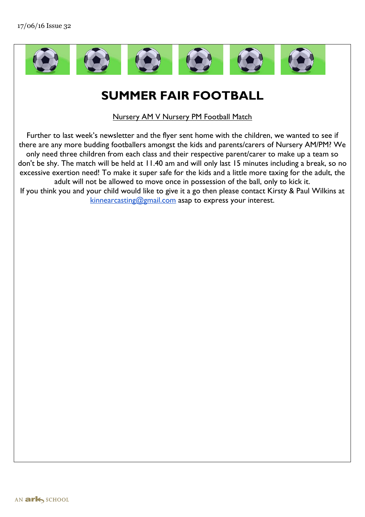

# **SUMMER FAIR FOOTBALL**

Nursery AM V Nursery PM Football Match

Further to last week's newsletter and the flyer sent home with the children, we wanted to see if there are any more budding footballers amongst the kids and parents/carers of Nursery AM/PM? We only need three children from each class and their respective parent/carer to make up a team so don't be shy. The match will be held at 11.40 am and will only last 15 minutes including a break, so no excessive exertion need! To make it super safe for the kids and a little more taxing for the adult, the adult will not be allowed to move once in possession of the ball, only to kick it.

If you think you and your child would like to give it a go then please contact Kirsty & Paul Wilkins at [kinnearcasting@gmail.com](mailto:kinnearcasting@gmail.com) asap to express your interest.